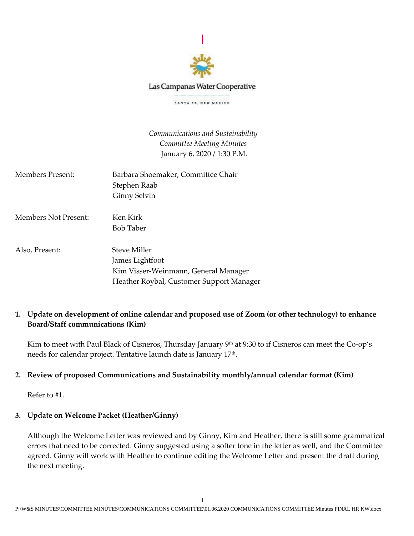

Las Campanas Water Cooperative

SANTA PE, NEW MEXICO

*Communications and Sustainability Committee Meeting Minutes* January 6, 2020 / 1:30 P.M.

| Members Present:     | Barbara Shoemaker, Committee Chair<br>Stephen Raab<br>Ginny Selvin                                                  |
|----------------------|---------------------------------------------------------------------------------------------------------------------|
| Members Not Present: | Ken Kirk<br><b>Bob Taber</b>                                                                                        |
| Also, Present:       | Steve Miller<br>James Lightfoot<br>Kim Visser-Weinmann, General Manager<br>Heather Roybal, Customer Support Manager |

# **1. Update on development of online calendar and proposed use of Zoom (or other technology) to enhance Board/Staff communications (Kim)**

Kim to meet with Paul Black of Cisneros, Thursday January 9<sup>th</sup> at 9:30 to if Cisneros can meet the Co-op's needs for calendar project. Tentative launch date is January 17th.

# **2. Review of proposed Communications and Sustainability monthly/annual calendar format (Kim)**

Refer to #1.

# **3. Update on Welcome Packet (Heather/Ginny)**

Although the Welcome Letter was reviewed and by Ginny, Kim and Heather, there is still some grammatical errors that need to be corrected. Ginny suggested using a softer tone in the letter as well, and the Committee agreed. Ginny will work with Heather to continue editing the Welcome Letter and present the draft during the next meeting.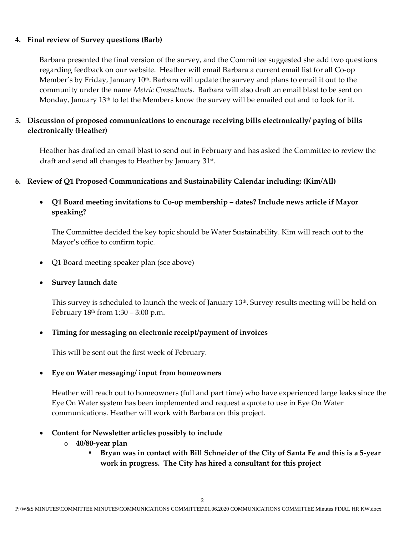## **4. Final review of Survey questions (Barb)**

Barbara presented the final version of the survey, and the Committee suggested she add two questions regarding feedback on our website. Heather will email Barbara a current email list for all Co-op Member's by Friday, January 10th. Barbara will update the survey and plans to email it out to the community under the name *Metric Consultants*. Barbara will also draft an email blast to be sent on Monday, January 13<sup>th</sup> to let the Members know the survey will be emailed out and to look for it.

# **5. Discussion of proposed communications to encourage receiving bills electronically/ paying of bills electronically (Heather)**

Heather has drafted an email blast to send out in February and has asked the Committee to review the draft and send all changes to Heather by January 31st .

## **6. Review of Q1 Proposed Communications and Sustainability Calendar including: (Kim/All)**

• **Q1 Board meeting invitations to Co-op membership – dates? Include news article if Mayor speaking?**

The Committee decided the key topic should be Water Sustainability. Kim will reach out to the Mayor's office to confirm topic.

- Q1 Board meeting speaker plan (see above)
- **Survey launch date**

This survey is scheduled to launch the week of January 13th. Survey results meeting will be held on February  $18<sup>th</sup>$  from  $1:30 - 3:00$  p.m.

• **Timing for messaging on electronic receipt/payment of invoices** 

This will be sent out the first week of February.

## • **Eye on Water messaging/ input from homeowners**

Heather will reach out to homeowners (full and part time) who have experienced large leaks since the Eye On Water system has been implemented and request a quote to use in Eye On Water communications. Heather will work with Barbara on this project.

- **Content for Newsletter articles possibly to include**
	- o **40/80-year plan**
		- **Bryan was in contact with Bill Schneider of the City of Santa Fe and this is a 5-year work in progress. The City has hired a consultant for this project**